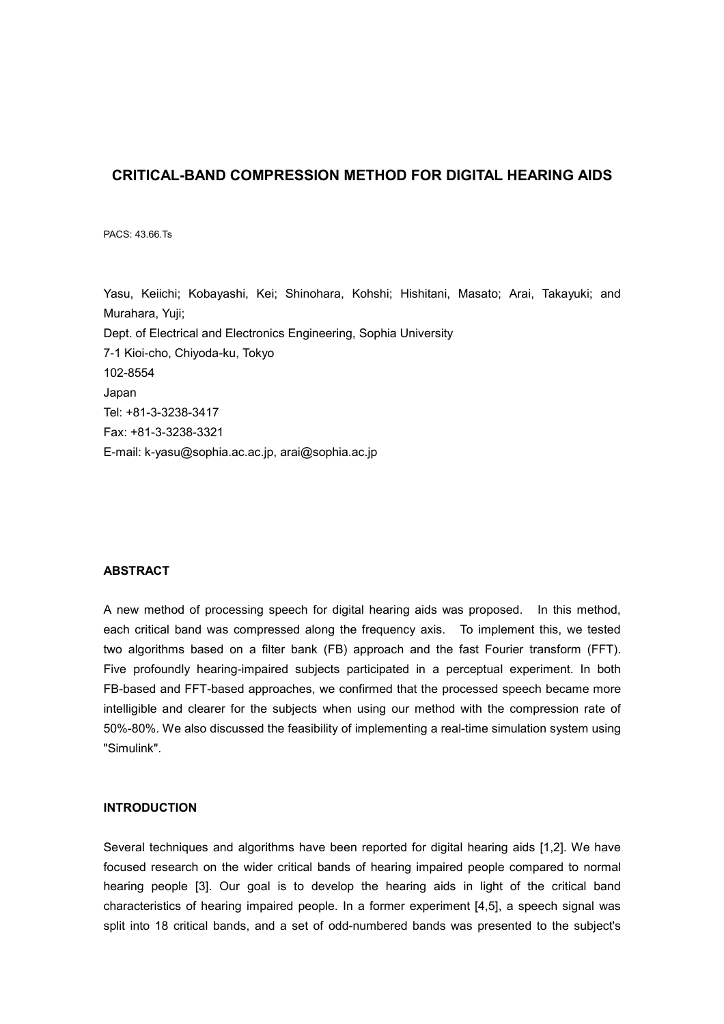# **CRITICAL-BAND COMPRESSION METHOD FOR DIGITAL HEARING AIDS**

PACS: 43.66.Ts

Yasu, Keiichi; Kobayashi, Kei; Shinohara, Kohshi; Hishitani, Masato; Arai, Takayuki; and Murahara, Yuji; Dept. of Electrical and Electronics Engineering, Sophia University 7-1 Kioi-cho, Chiyoda-ku, Tokyo 102-8554 Japan Tel: +81-3-3238-3417 Fax: +81-3-3238-3321 E-mail: k-yasu@sophia.ac.ac.jp, arai@sophia.ac.jp

### **ABSTRACT**

A new method of processing speech for digital hearing aids was proposed. In this method, each critical band was compressed along the frequency axis. To implement this, we tested two algorithms based on a filter bank (FB) approach and the fast Fourier transform (FFT). Five profoundly hearing-impaired subjects participated in a perceptual experiment. In both FB-based and FFT-based approaches, we confirmed that the processed speech became more intelligible and clearer for the subjects when using our method with the compression rate of 50%-80%. We also discussed the feasibility of implementing a real-time simulation system using "Simulink".

# **INTRODUCTION**

Several techniques and algorithms have been reported for digital hearing aids [1,2]. We have focused research on the wider critical bands of hearing impaired people compared to normal hearing people [3]. Our goal is to develop the hearing aids in light of the critical band characteristics of hearing impaired people. In a former experiment [4,5], a speech signal was split into 18 critical bands, and a set of odd-numbered bands was presented to the subject's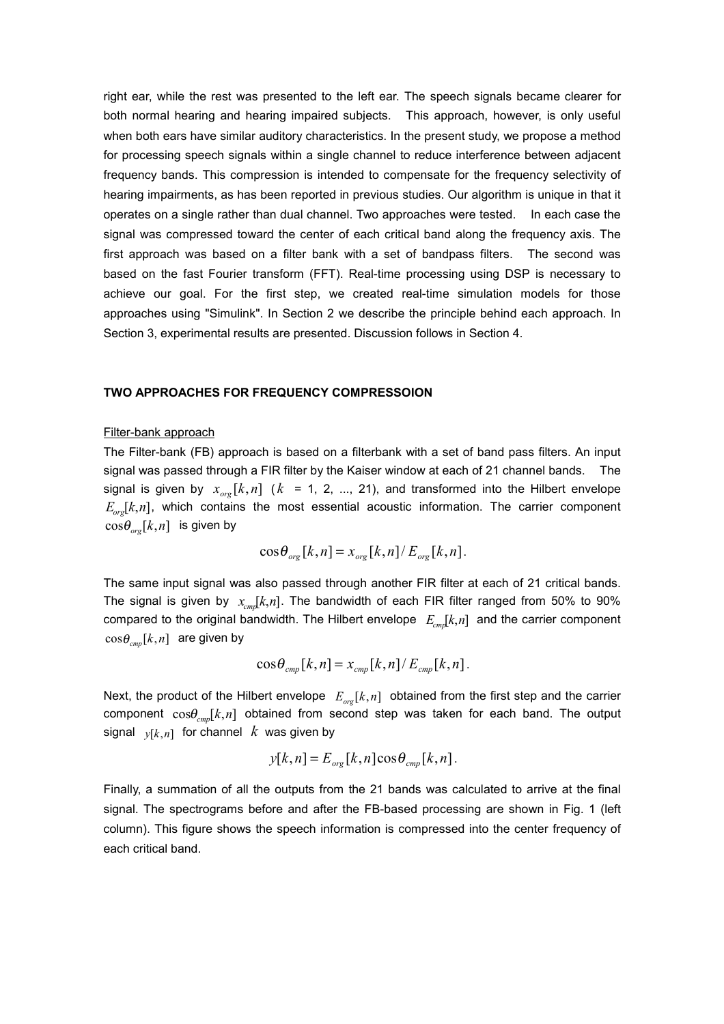right ear, while the rest was presented to the left ear. The speech signals became clearer for both normal hearing and hearing impaired subjects. This approach, however, is only useful when both ears have similar auditory characteristics. In the present study, we propose a method for processing speech signals within a single channel to reduce interference between adjacent frequency bands. This compression is intended to compensate for the frequency selectivity of hearing impairments, as has been reported in previous studies. Our algorithm is unique in that it operates on a single rather than dual channel. Two approaches were tested. In each case the signal was compressed toward the center of each critical band along the frequency axis. The first approach was based on a filter bank with a set of bandpass filters. The second was based on the fast Fourier transform (FFT). Real-time processing using DSP is necessary to achieve our goal. For the first step, we created real-time simulation models for those approaches using "Simulink". In Section 2 we describe the principle behind each approach. In Section 3, experimental results are presented. Discussion follows in Section 4.

### **TWO APPROACHES FOR FREQUENCY COMPRESSOION**

#### Filter-bank approach

The Filter-bank (FB) approach is based on a filterbank with a set of band pass filters. An input signal was passed through a FIR filter by the Kaiser window at each of 21 channel bands. The signal is given by  $x_{\text{opt}}[k, n]$  ( $k = 1, 2, ..., 21$ ), and transformed into the Hilbert envelope  $E_{\text{cav}}[k,n]$ , which contains the most essential acoustic information. The carrier component  $\cos \theta_{\text{org}}[k,n]$  is given by

$$
\cos\theta_{org}[k,n] = x_{org}[k,n]/E_{org}[k,n].
$$

The same input signal was also passed through another FIR filter at each of 21 critical bands. The signal is given by  $x_{cm}$ [k,*n*]. The bandwidth of each FIR filter ranged from 50% to 90% compared to the original bandwidth. The Hilbert envelope  $E_{cm} [k,n]$  and the carrier component  $\cos \theta_{\text{cmp}}[k,n]$  are given by

$$
\cos\theta_{\text{cmp}}[k,n] = x_{\text{cmp}}[k,n]/E_{\text{cmp}}[k,n].
$$

Next, the product of the Hilbert envelope  $E_{\text{ore}}[k,n]$  obtained from the first step and the carrier component  $cos \theta_{cm} [k,n]$  obtained from second step was taken for each band. The output signal  $y[k,n]$  for channel  $k$  was given by

$$
y[k,n] = E_{org}[k,n] \cos \theta_{cmp}[k,n].
$$

Finally, a summation of all the outputs from the 21 bands was calculated to arrive at the final signal. The spectrograms before and after the FB-based processing are shown in Fig. 1 (left column). This figure shows the speech information is compressed into the center frequency of each critical band.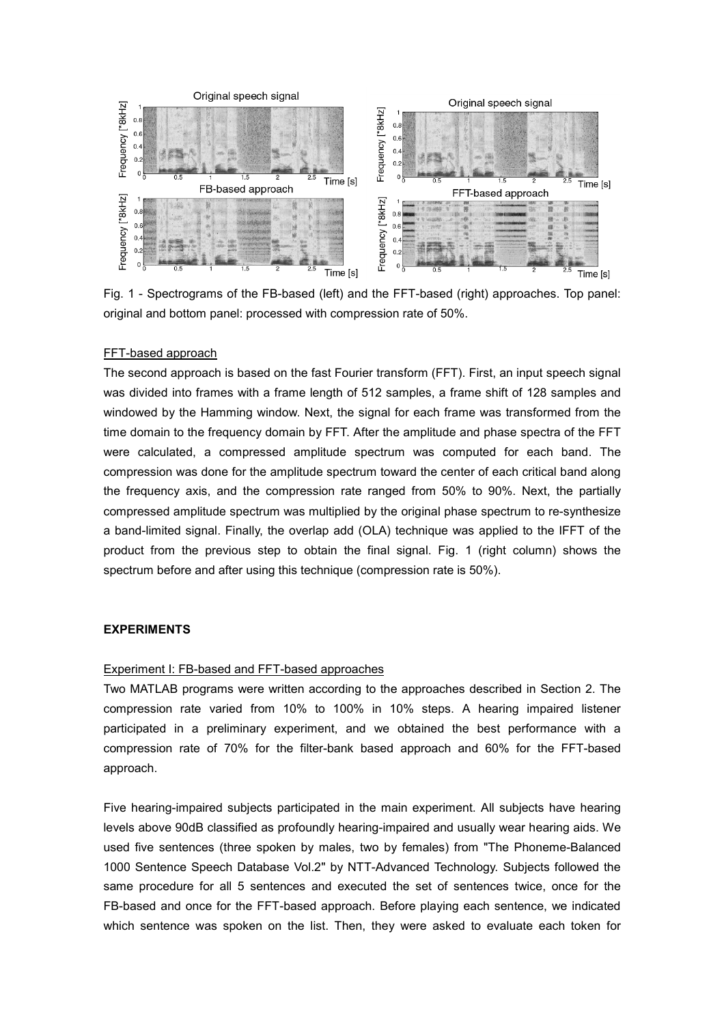

Fig. 1 - Spectrograms of the FB-based (left) and the FFT-based (right) approaches. Top panel: original and bottom panel: processed with compression rate of 50%.

### FFT-based approach

The second approach is based on the fast Fourier transform (FFT). First, an input speech signal was divided into frames with a frame length of 512 samples, a frame shift of 128 samples and windowed by the Hamming window. Next, the signal for each frame was transformed from the time domain to the frequency domain by FFT. After the amplitude and phase spectra of the FFT were calculated, a compressed amplitude spectrum was computed for each band. The compression was done for the amplitude spectrum toward the center of each critical band along the frequency axis, and the compression rate ranged from 50% to 90%. Next, the partially compressed amplitude spectrum was multiplied by the original phase spectrum to re-synthesize a band-limited signal. Finally, the overlap add (OLA) technique was applied to the IFFT of the product from the previous step to obtain the final signal. Fig. 1 (right column) shows the spectrum before and after using this technique (compression rate is 50%).

### **EXPERIMENTS**

### Experiment I: FB-based and FFT-based approaches

Two MATLAB programs were written according to the approaches described in Section 2. The compression rate varied from 10% to 100% in 10% steps. A hearing impaired listener participated in a preliminary experiment, and we obtained the best performance with a compression rate of 70% for the filter-bank based approach and 60% for the FFT-based approach.

Five hearing-impaired subjects participated in the main experiment. All subjects have hearing levels above 90dB classified as profoundly hearing-impaired and usually wear hearing aids. We used five sentences (three spoken by males, two by females) from "The Phoneme-Balanced 1000 Sentence Speech Database Vol.2" by NTT-Advanced Technology. Subjects followed the same procedure for all 5 sentences and executed the set of sentences twice, once for the FB-based and once for the FFT-based approach. Before playing each sentence, we indicated which sentence was spoken on the list. Then, they were asked to evaluate each token for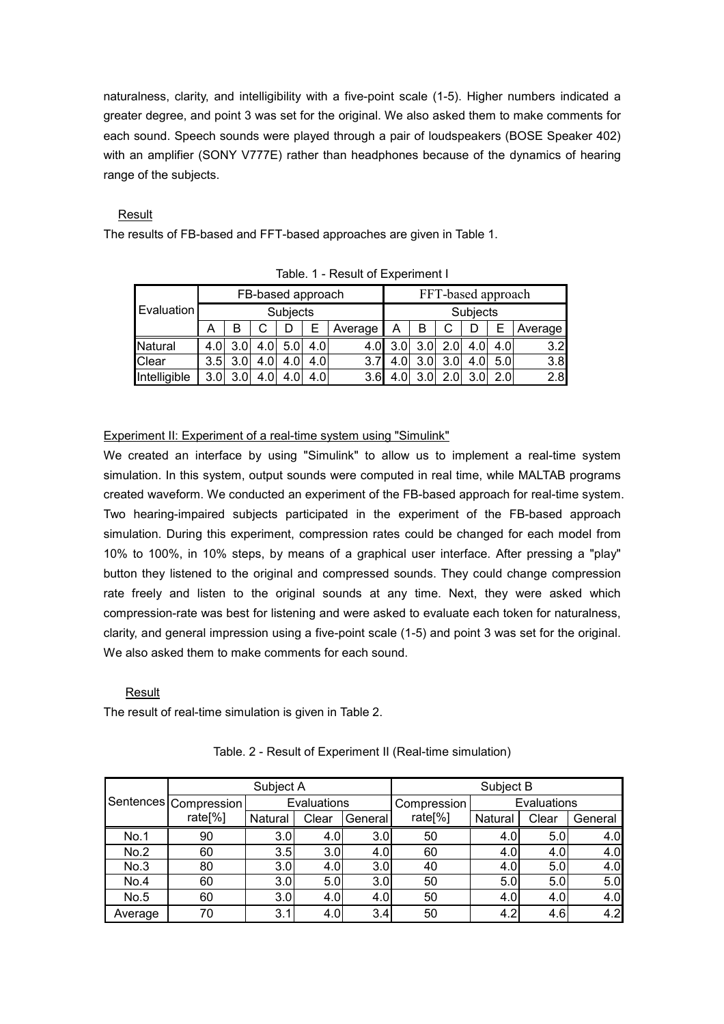naturalness, clarity, and intelligibility with a five-point scale (1-5). Higher numbers indicated a greater degree, and point 3 was set for the original. We also asked them to make comments for each sound. Speech sounds were played through a pair of loudspeakers (BOSE Speaker 402) with an amplifier (SONY V777E) rather than headphones because of the dynamics of hearing range of the subjects.

# Result

The results of FB-based and FFT-based approaches are given in Table 1.

| <b>Evaluation</b> | FB-based approach |     |               |     |      |         | FFT-based approach |     |     |               |                  |         |
|-------------------|-------------------|-----|---------------|-----|------|---------|--------------------|-----|-----|---------------|------------------|---------|
|                   | Subjects          |     |               |     |      |         | Subjects           |     |     |               |                  |         |
|                   |                   | в   |               |     |      | Average | А                  | B   |     |               |                  | Average |
| Natural           | 4.01              | 3.0 | 4.0           | 5.0 | 4.0  |         |                    | 3.0 | 2.0 | 4.OI          | 4.0              | 3.2     |
| Clear             | 3.5 <sub>1</sub>  | 3.0 | $4.0^{\circ}$ | 4.0 | 4.0  | 3.7     |                    | 3.0 | 3.0 | $4.0^{\circ}$ | 5.0 <sub>l</sub> | 3.8     |
| Intelligible      | 3.0 <sub>l</sub>  |     | 4.0           |     | 4.01 | 3.6     |                    | 3.0 | 2(  | 2             |                  | 2.8     |

Table. 1 - Result of Experiment I

# Experiment II: Experiment of a real-time system using "Simulink"

We created an interface by using "Simulink" to allow us to implement a real-time system simulation. In this system, output sounds were computed in real time, while MALTAB programs created waveform. We conducted an experiment of the FB-based approach for real-time system. Two hearing-impaired subjects participated in the experiment of the FB-based approach simulation. During this experiment, compression rates could be changed for each model from 10% to 100%, in 10% steps, by means of a graphical user interface. After pressing a "play" button they listened to the original and compressed sounds. They could change compression rate freely and listen to the original sounds at any time. Next, they were asked which compression-rate was best for listening and were asked to evaluate each token for naturalness, clarity, and general impression using a five-point scale (1-5) and point 3 was set for the original. We also asked them to make comments for each sound.

## Result

The result of real-time simulation is given in Table 2.

|         |                       | Subject A |             |         | Subject B           |             |       |         |  |
|---------|-----------------------|-----------|-------------|---------|---------------------|-------------|-------|---------|--|
|         | Sentences Compression |           | Evaluations |         | Compression         | Evaluations |       |         |  |
|         | rate <sup>[%]</sup>   | Natural   | Clear       | General | rate <sup>[%]</sup> | Natural     | Clear | General |  |
| No.1    | 90                    | 3.0       | 4.0         | 3.0     | 50                  | 4.0         | 5.0   | 4.0     |  |
| No.2    | 60                    | 3.5       | 3.0         | 4.0     | 60                  | 4.0         | 4.0   | 4.0     |  |
| No.3    | 80                    | 3.0       | 4.0         | 3.0     | 40                  | 4.0         | 5.0   | 4.0     |  |
| No.4    | 60                    | 3.0       | 5.0         | 3.0     | 50                  | 5.0         | 5.0   | 5.0     |  |
| No.5    | 60                    | 3.0       | 4.0         | 4.0     | 50                  | 4.0         | 4.0   | 4.0     |  |
| Average | 70                    | 3.1       | 4.0         | 3.4     | 50                  | 4.2         | 4.6   | 4.2     |  |

Table. 2 - Result of Experiment II (Real-time simulation)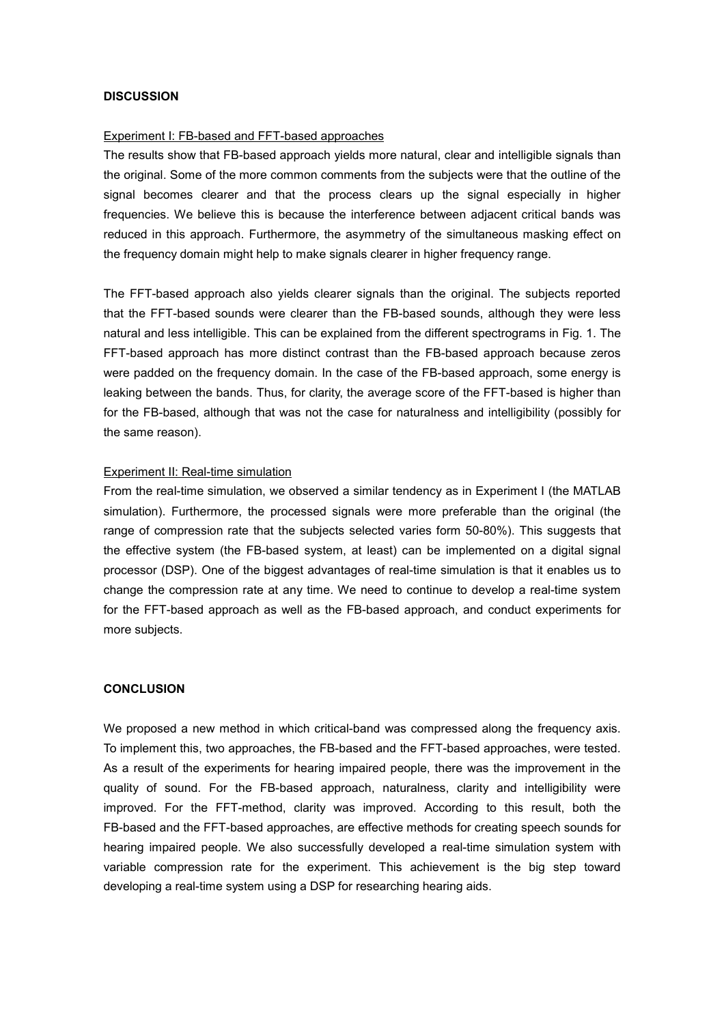### **DISCUSSION**

#### Experiment I: FB-based and FFT-based approaches

The results show that FB-based approach yields more natural, clear and intelligible signals than the original. Some of the more common comments from the subjects were that the outline of the signal becomes clearer and that the process clears up the signal especially in higher frequencies. We believe this is because the interference between adjacent critical bands was reduced in this approach. Furthermore, the asymmetry of the simultaneous masking effect on the frequency domain might help to make signals clearer in higher frequency range.

The FFT-based approach also yields clearer signals than the original. The subjects reported that the FFT-based sounds were clearer than the FB-based sounds, although they were less natural and less intelligible. This can be explained from the different spectrograms in Fig. 1. The FFT-based approach has more distinct contrast than the FB-based approach because zeros were padded on the frequency domain. In the case of the FB-based approach, some energy is leaking between the bands. Thus, for clarity, the average score of the FFT-based is higher than for the FB-based, although that was not the case for naturalness and intelligibility (possibly for the same reason).

### Experiment II: Real-time simulation

From the real-time simulation, we observed a similar tendency as in Experiment I (the MATLAB simulation). Furthermore, the processed signals were more preferable than the original (the range of compression rate that the subjects selected varies form 50-80%). This suggests that the effective system (the FB-based system, at least) can be implemented on a digital signal processor (DSP). One of the biggest advantages of real-time simulation is that it enables us to change the compression rate at any time. We need to continue to develop a real-time system for the FFT-based approach as well as the FB-based approach, and conduct experiments for more subjects.

### **CONCLUSION**

We proposed a new method in which critical-band was compressed along the frequency axis. To implement this, two approaches, the FB-based and the FFT-based approaches, were tested. As a result of the experiments for hearing impaired people, there was the improvement in the quality of sound. For the FB-based approach, naturalness, clarity and intelligibility were improved. For the FFT-method, clarity was improved. According to this result, both the FB-based and the FFT-based approaches, are effective methods for creating speech sounds for hearing impaired people. We also successfully developed a real-time simulation system with variable compression rate for the experiment. This achievement is the big step toward developing a real-time system using a DSP for researching hearing aids.